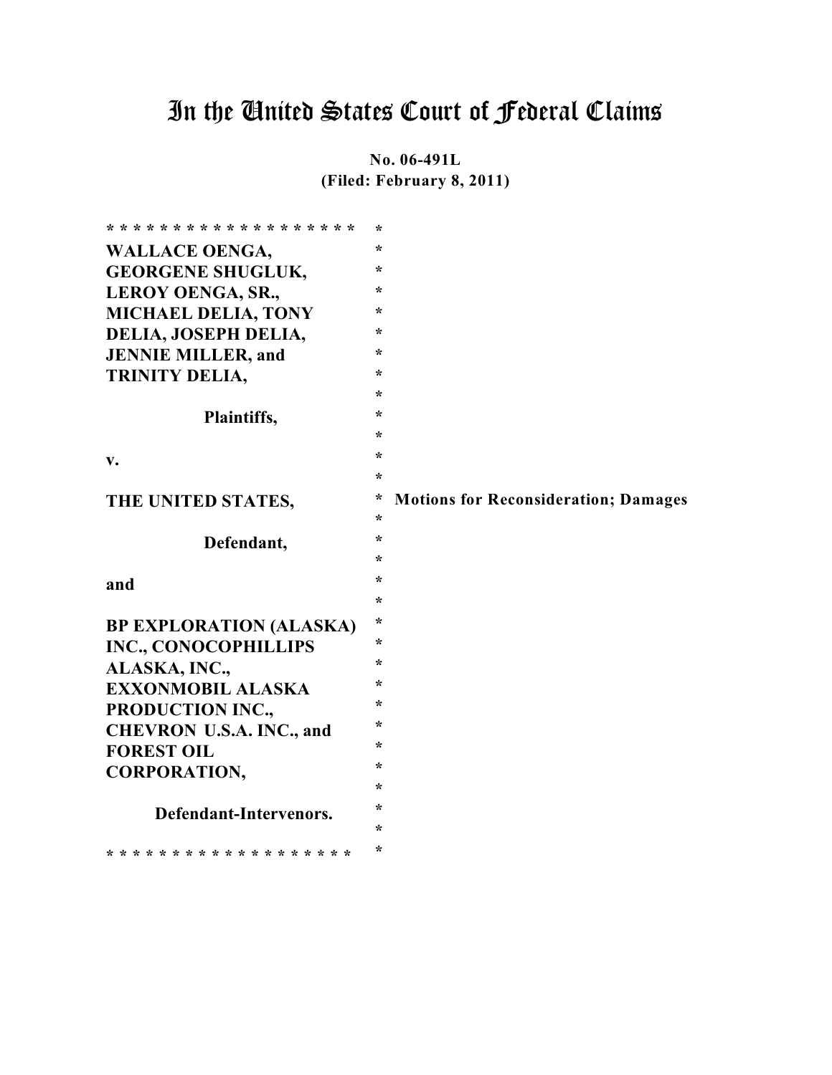# In the United States Court of Federal Claims

**No. 06-491L (Filed: February 8, 2011)**

| * * * * * * * * * * * * * * * * * * * | $\star$ |                                             |
|---------------------------------------|---------|---------------------------------------------|
| <b>WALLACE OENGA,</b>                 | $\star$ |                                             |
| <b>GEORGENE SHUGLUK,</b>              | $\ast$  |                                             |
| <b>LEROY OENGA, SR.,</b>              | $\ast$  |                                             |
| <b>MICHAEL DELIA, TONY</b>            | $\ast$  |                                             |
| DELIA, JOSEPH DELIA,                  | $\star$ |                                             |
| <b>JENNIE MILLER, and</b>             | $\star$ |                                             |
| TRINITY DELIA,                        | $\star$ |                                             |
|                                       | $\star$ |                                             |
| Plaintiffs,                           | $\star$ |                                             |
|                                       | $\star$ |                                             |
| V.                                    | $\star$ |                                             |
|                                       | $\ast$  |                                             |
| THE UNITED STATES,                    | *       | <b>Motions for Reconsideration; Damages</b> |
|                                       | $\ast$  |                                             |
| Defendant,                            | $\ast$  |                                             |
|                                       | $\star$ |                                             |
| and                                   | $\star$ |                                             |
|                                       | $\star$ |                                             |
| <b>BP EXPLORATION (ALASKA)</b>        | $\star$ |                                             |
| <b>INC., CONOCOPHILLIPS</b>           | ∗       |                                             |
| ALASKA, INC.,                         | $\star$ |                                             |
| <b>EXXONMOBIL ALASKA</b>              | $\star$ |                                             |
| PRODUCTION INC.,                      | $\ast$  |                                             |
| <b>CHEVRON U.S.A. INC., and</b>       | $\ast$  |                                             |
| <b>FOREST OIL</b>                     | $\star$ |                                             |
| <b>CORPORATION,</b>                   | $\star$ |                                             |
|                                       | $\star$ |                                             |
| Defendant-Intervenors.                | $\ast$  |                                             |
|                                       | $\ast$  |                                             |
| * * * * * * * * * * * * * * * * * * * | $\star$ |                                             |
|                                       |         |                                             |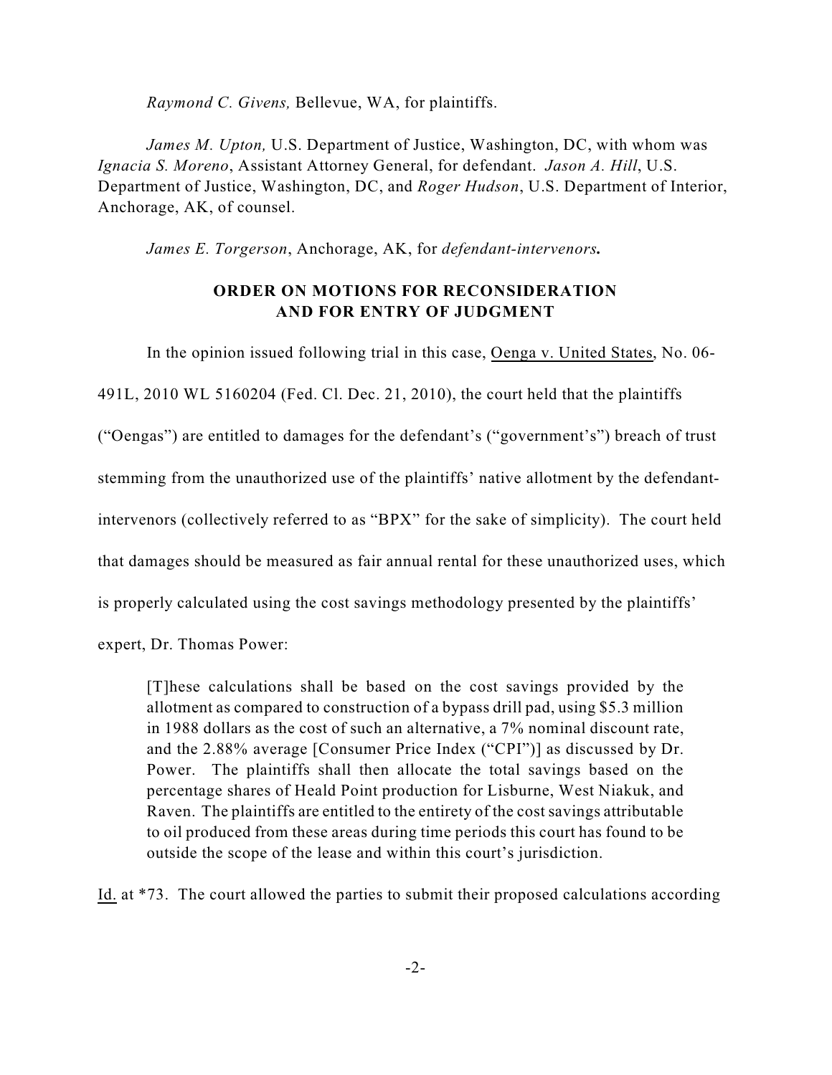*Raymond C. Givens,* Bellevue, WA, for plaintiffs.

*James M. Upton,* U.S. Department of Justice, Washington, DC, with whom was *Ignacia S. Moreno*, Assistant Attorney General, for defendant. *Jason A. Hill*, U.S. Department of Justice, Washington, DC, and *Roger Hudson*, U.S. Department of Interior, Anchorage, AK, of counsel.

*James E. Torgerson*, Anchorage, AK, for *defendant-intervenors.*

# **ORDER ON MOTIONS FOR RECONSIDERATION AND FOR ENTRY OF JUDGMENT**

In the opinion issued following trial in this case, Oenga v. United States, No. 06- 491L, 2010 WL 5160204 (Fed. Cl. Dec. 21, 2010), the court held that the plaintiffs ("Oengas") are entitled to damages for the defendant's ("government's") breach of trust stemming from the unauthorized use of the plaintiffs' native allotment by the defendantintervenors (collectively referred to as "BPX" for the sake of simplicity). The court held that damages should be measured as fair annual rental for these unauthorized uses, which is properly calculated using the cost savings methodology presented by the plaintiffs'

expert, Dr. Thomas Power:

[T]hese calculations shall be based on the cost savings provided by the allotment as compared to construction of a bypass drill pad, using \$5.3 million in 1988 dollars as the cost of such an alternative, a 7% nominal discount rate, and the 2.88% average [Consumer Price Index ("CPI")] as discussed by Dr. Power. The plaintiffs shall then allocate the total savings based on the percentage shares of Heald Point production for Lisburne, West Niakuk, and Raven. The plaintiffs are entitled to the entirety of the cost savings attributable to oil produced from these areas during time periods this court has found to be outside the scope of the lease and within this court's jurisdiction.

Id. at \*73. The court allowed the parties to submit their proposed calculations according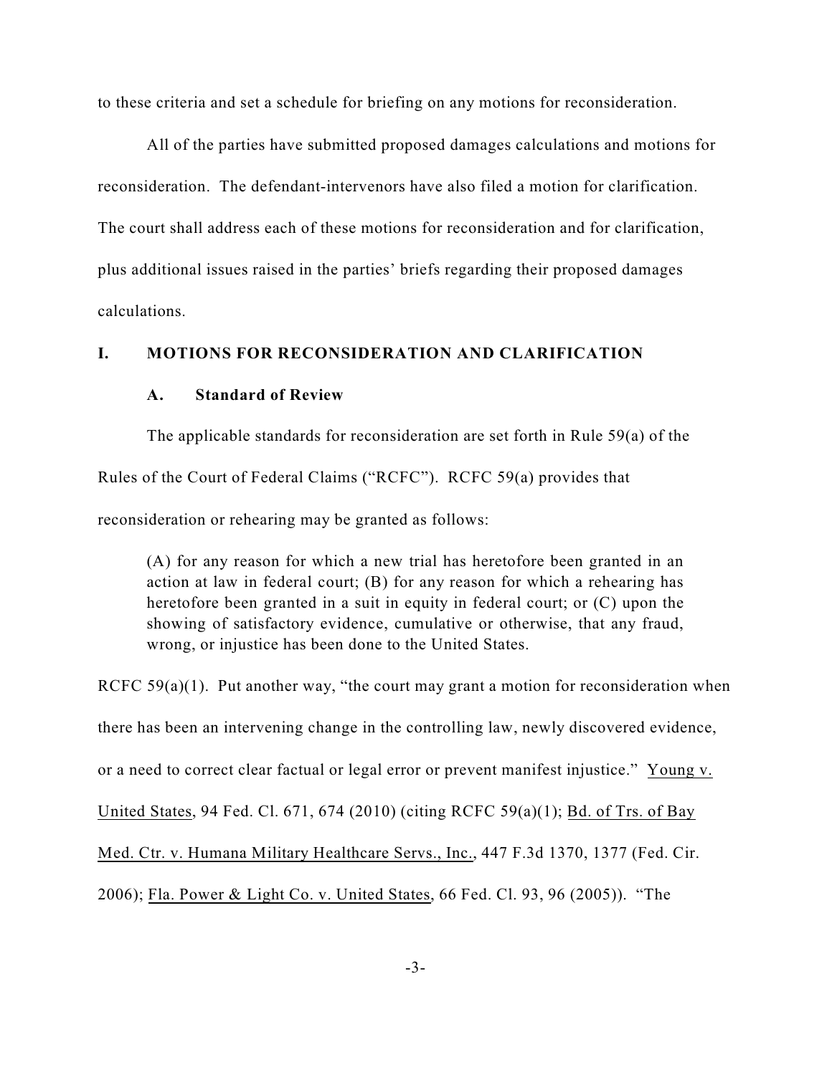to these criteria and set a schedule for briefing on any motions for reconsideration.

All of the parties have submitted proposed damages calculations and motions for reconsideration. The defendant-intervenors have also filed a motion for clarification. The court shall address each of these motions for reconsideration and for clarification, plus additional issues raised in the parties' briefs regarding their proposed damages calculations.

# **I. MOTIONS FOR RECONSIDERATION AND CLARIFICATION**

### **A. Standard of Review**

The applicable standards for reconsideration are set forth in Rule 59(a) of the Rules of the Court of Federal Claims ("RCFC"). RCFC 59(a) provides that reconsideration or rehearing may be granted as follows:

(A) for any reason for which a new trial has heretofore been granted in an action at law in federal court; (B) for any reason for which a rehearing has heretofore been granted in a suit in equity in federal court; or (C) upon the showing of satisfactory evidence, cumulative or otherwise, that any fraud, wrong, or injustice has been done to the United States.

RCFC  $59(a)(1)$ . Put another way, "the court may grant a motion for reconsideration when there has been an intervening change in the controlling law, newly discovered evidence, or a need to correct clear factual or legal error or prevent manifest injustice." Young v. United States, 94 Fed. Cl. 671, 674 (2010) (citing RCFC 59(a)(1); Bd. of Trs. of Bay Med. Ctr. v. Humana Military Healthcare Servs., Inc., 447 F.3d 1370, 1377 (Fed. Cir. 2006); Fla. Power & Light Co. v. United States, 66 Fed. Cl. 93, 96 (2005)). "The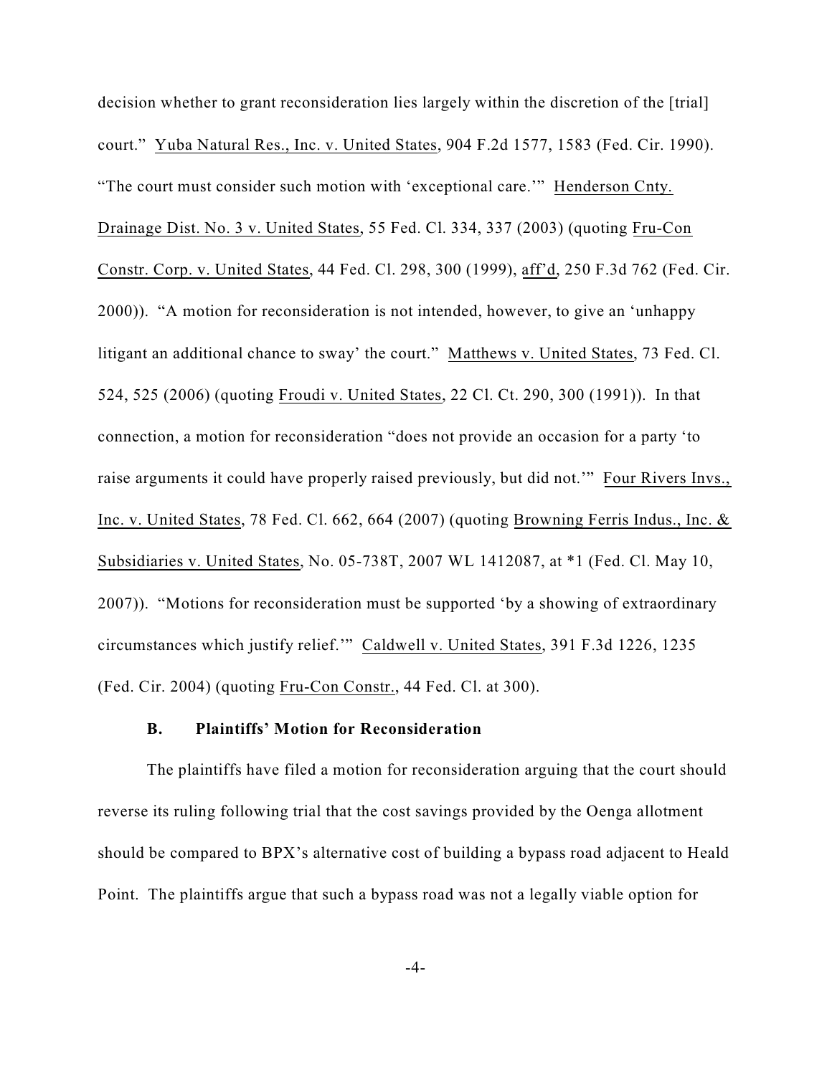decision whether to grant reconsideration lies largely within the discretion of the [trial] court." Yuba Natural Res., Inc. v. United States, 904 F.2d 1577, 1583 (Fed. Cir. 1990). "The court must consider such motion with 'exceptional care.'" Henderson Cnty. Drainage Dist. No. 3 v. United States, 55 Fed. Cl. 334, 337 (2003) (quoting Fru-Con Constr. Corp. v. United States, 44 Fed. Cl. 298, 300 (1999), aff'd, 250 F.3d 762 (Fed. Cir. 2000)). "A motion for reconsideration is not intended, however, to give an 'unhappy litigant an additional chance to sway' the court." Matthews v. United States, 73 Fed. Cl. 524, 525 (2006) (quoting Froudi v. United States, 22 Cl. Ct. 290, 300 (1991)). In that connection, a motion for reconsideration "does not provide an occasion for a party 'to raise arguments it could have properly raised previously, but did not.'" Four Rivers Invs., Inc. v. United States, 78 Fed. Cl. 662, 664 (2007) (quoting Browning Ferris Indus., Inc. & Subsidiaries v. United States, No. 05-738T, 2007 WL 1412087, at \*1 (Fed. Cl. May 10, 2007)). "Motions for reconsideration must be supported 'by a showing of extraordinary circumstances which justify relief.'" Caldwell v. United States, 391 F.3d 1226, 1235 (Fed. Cir. 2004) (quoting Fru-Con Constr., 44 Fed. Cl. at 300).

#### **B. Plaintiffs' Motion for Reconsideration**

The plaintiffs have filed a motion for reconsideration arguing that the court should reverse its ruling following trial that the cost savings provided by the Oenga allotment should be compared to BPX's alternative cost of building a bypass road adjacent to Heald Point. The plaintiffs argue that such a bypass road was not a legally viable option for

-4-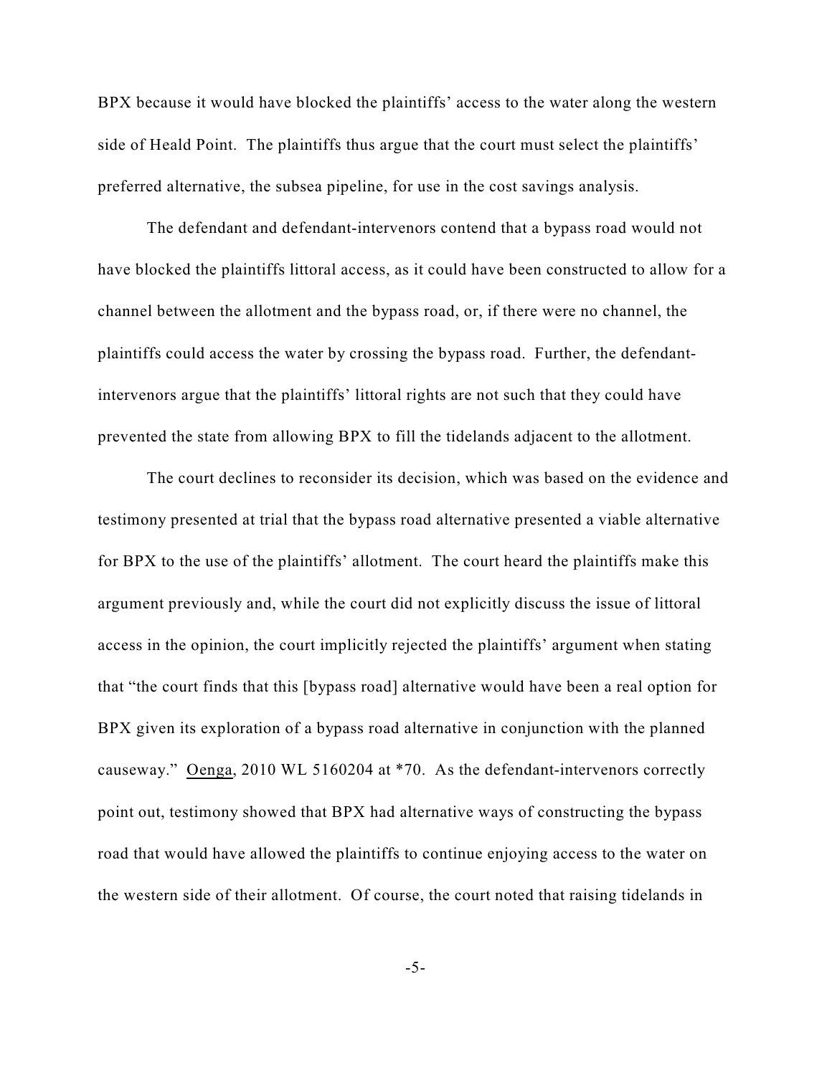BPX because it would have blocked the plaintiffs' access to the water along the western side of Heald Point. The plaintiffs thus argue that the court must select the plaintiffs' preferred alternative, the subsea pipeline, for use in the cost savings analysis.

The defendant and defendant-intervenors contend that a bypass road would not have blocked the plaintiffs littoral access, as it could have been constructed to allow for a channel between the allotment and the bypass road, or, if there were no channel, the plaintiffs could access the water by crossing the bypass road. Further, the defendantintervenors argue that the plaintiffs' littoral rights are not such that they could have prevented the state from allowing BPX to fill the tidelands adjacent to the allotment.

The court declines to reconsider its decision, which was based on the evidence and testimony presented at trial that the bypass road alternative presented a viable alternative for BPX to the use of the plaintiffs' allotment. The court heard the plaintiffs make this argument previously and, while the court did not explicitly discuss the issue of littoral access in the opinion, the court implicitly rejected the plaintiffs' argument when stating that "the court finds that this [bypass road] alternative would have been a real option for BPX given its exploration of a bypass road alternative in conjunction with the planned causeway." Oenga, 2010 WL 5160204 at \*70. As the defendant-intervenors correctly point out, testimony showed that BPX had alternative ways of constructing the bypass road that would have allowed the plaintiffs to continue enjoying access to the water on the western side of their allotment. Of course, the court noted that raising tidelands in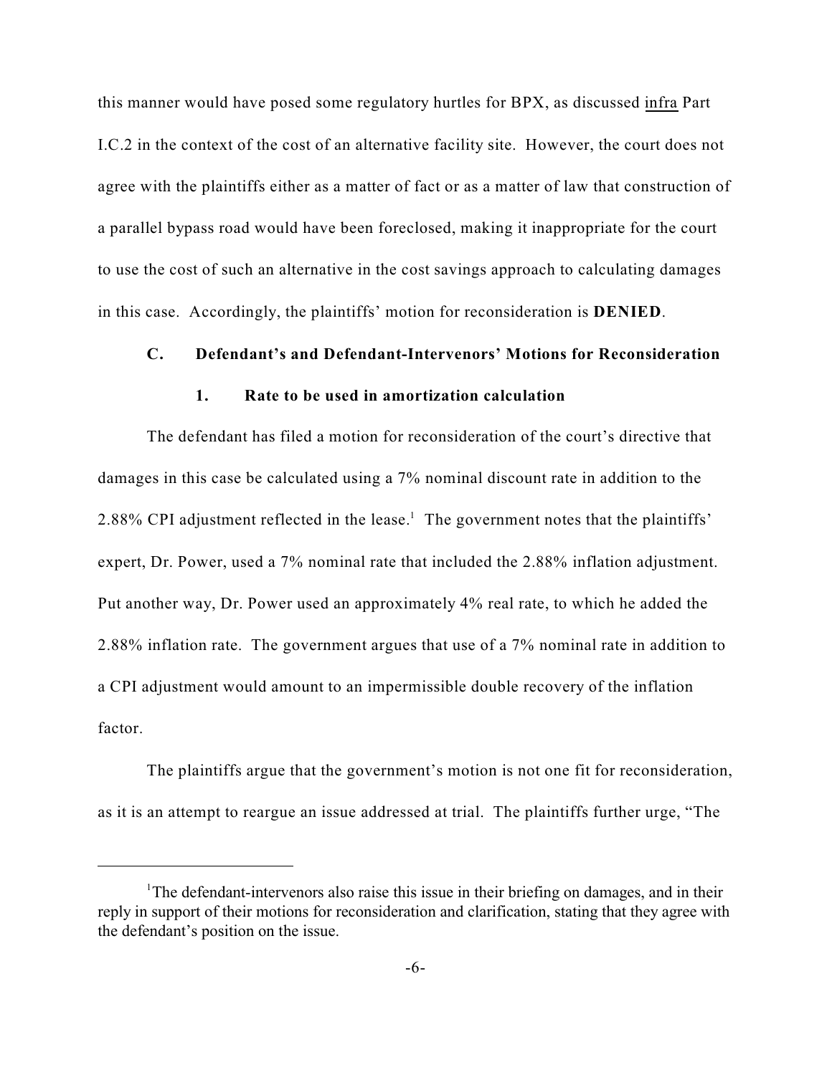this manner would have posed some regulatory hurtles for BPX, as discussed infra Part I.C.2 in the context of the cost of an alternative facility site. However, the court does not agree with the plaintiffs either as a matter of fact or as a matter of law that construction of a parallel bypass road would have been foreclosed, making it inappropriate for the court to use the cost of such an alternative in the cost savings approach to calculating damages in this case. Accordingly, the plaintiffs' motion for reconsideration is **DENIED**.

# **C. Defendant's and Defendant-Intervenors' Motions for Reconsideration**

# **1. Rate to be used in amortization calculation**

The defendant has filed a motion for reconsideration of the court's directive that damages in this case be calculated using a 7% nominal discount rate in addition to the 2.88% CPI adjustment reflected in the lease.<sup>1</sup> The government notes that the plaintiffs' expert, Dr. Power, used a 7% nominal rate that included the 2.88% inflation adjustment. Put another way, Dr. Power used an approximately 4% real rate, to which he added the 2.88% inflation rate. The government argues that use of a 7% nominal rate in addition to a CPI adjustment would amount to an impermissible double recovery of the inflation factor.

The plaintiffs argue that the government's motion is not one fit for reconsideration, as it is an attempt to reargue an issue addressed at trial. The plaintiffs further urge, "The

<sup>&</sup>lt;sup>1</sup>The defendant-intervenors also raise this issue in their briefing on damages, and in their reply in support of their motions for reconsideration and clarification, stating that they agree with the defendant's position on the issue.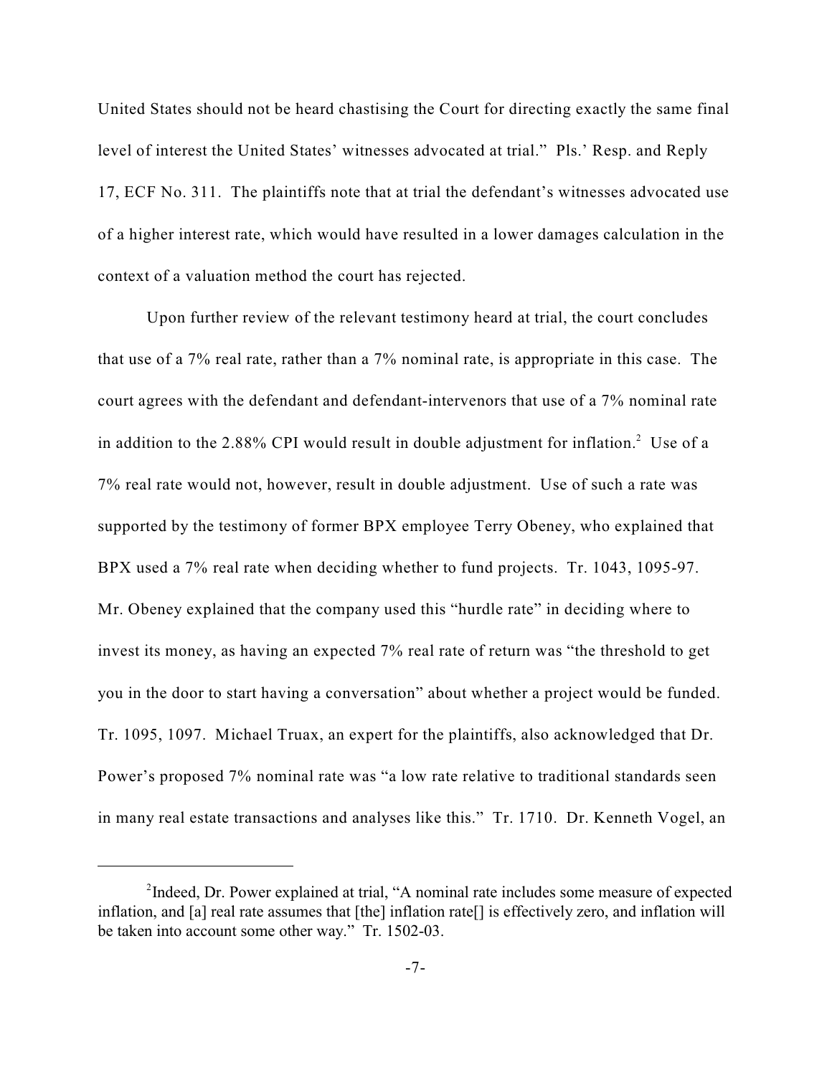United States should not be heard chastising the Court for directing exactly the same final level of interest the United States' witnesses advocated at trial." Pls.' Resp. and Reply 17, ECF No. 311. The plaintiffs note that at trial the defendant's witnesses advocated use of a higher interest rate, which would have resulted in a lower damages calculation in the context of a valuation method the court has rejected.

Upon further review of the relevant testimony heard at trial, the court concludes that use of a 7% real rate, rather than a 7% nominal rate, is appropriate in this case. The court agrees with the defendant and defendant-intervenors that use of a 7% nominal rate in addition to the 2.88% CPI would result in double adjustment for inflation.<sup>2</sup> Use of a 7% real rate would not, however, result in double adjustment. Use of such a rate was supported by the testimony of former BPX employee Terry Obeney, who explained that BPX used a 7% real rate when deciding whether to fund projects. Tr. 1043, 1095-97. Mr. Obeney explained that the company used this "hurdle rate" in deciding where to invest its money, as having an expected 7% real rate of return was "the threshold to get you in the door to start having a conversation" about whether a project would be funded. Tr. 1095, 1097. Michael Truax, an expert for the plaintiffs, also acknowledged that Dr. Power's proposed 7% nominal rate was "a low rate relative to traditional standards seen in many real estate transactions and analyses like this." Tr. 1710. Dr. Kenneth Vogel, an

<sup>&</sup>lt;sup>2</sup>Indeed, Dr. Power explained at trial, "A nominal rate includes some measure of expected inflation, and [a] real rate assumes that [the] inflation rate[] is effectively zero, and inflation will be taken into account some other way." Tr. 1502-03.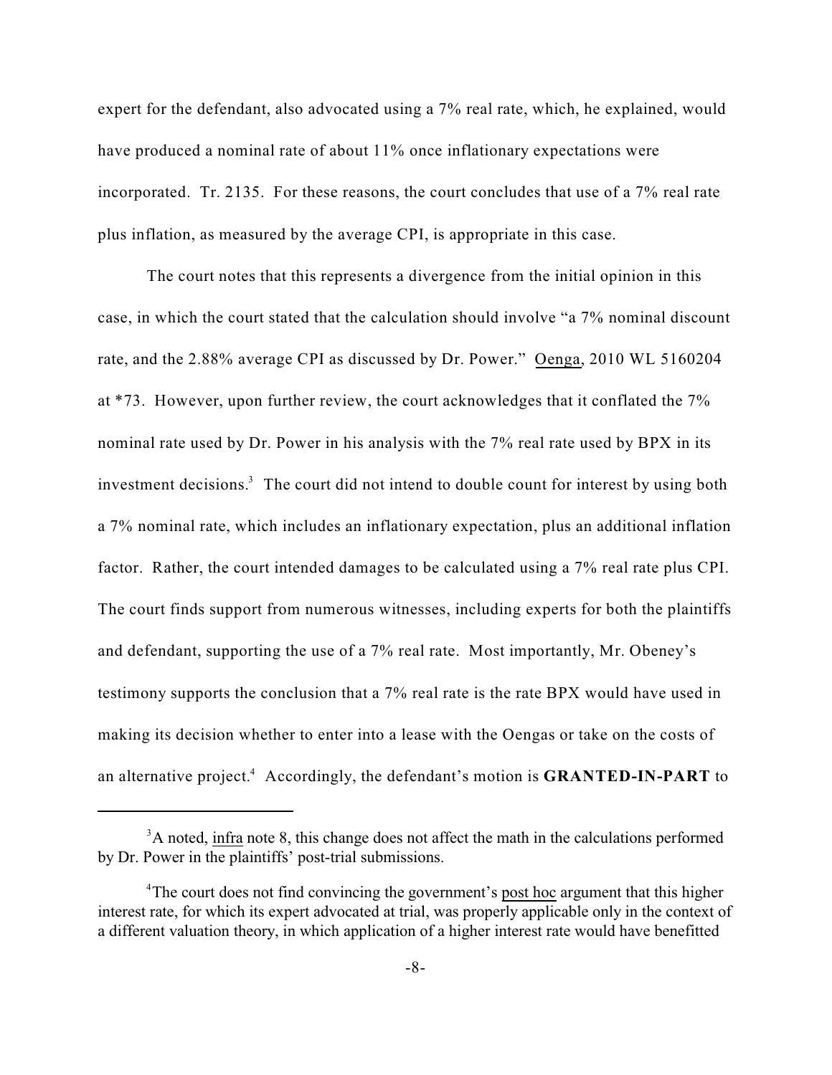expert for the defendant, also advocated using a 7% real rate, which, he explained, would have produced a nominal rate of about 11% once inflationary expectations were incorporated. Tr. 2135. For these reasons, the court concludes that use of a 7% real rate plus inflation, as measured by the average CPI, is appropriate in this case.

The court notes that this represents a divergence from the initial opinion in this case, in which the court stated that the calculation should involve "a 7% nominal discount rate, and the 2.88% average CPI as discussed by Dr. Power." Oenga, 2010 WL 5160204 at \*73. However, upon further review, the court acknowledges that it conflated the 7% nominal rate used by Dr. Power in his analysis with the 7% real rate used by BPX in its investment decisions.<sup>3</sup> The court did not intend to double count for interest by using both a 7% nominal rate, which includes an inflationary expectation, plus an additional inflation factor. Rather, the court intended damages to be calculated using a 7% real rate plus CPI. The court finds support from numerous witnesses, including experts for both the plaintiffs and defendant, supporting the use of a 7% real rate. Most importantly, Mr. Obeney's testimony supports the conclusion that a 7% real rate is the rate BPX would have used in making its decision whether to enter into a lease with the Oengas or take on the costs of an alternative project.<sup>4</sup> Accordingly, the defendant's motion is **GRANTED-IN-PART** to

<sup>&</sup>lt;sup>3</sup>A noted, infra note 8, this change does not affect the math in the calculations performed by Dr. Power in the plaintiffs' post-trial submissions.

<sup>&</sup>lt;sup>4</sup>The court does not find convincing the government's post hoc argument that this higher interest rate, for which its expert advocated at trial, was properly applicable only in the context of a different valuation theory, in which application of a higher interest rate would have benefitted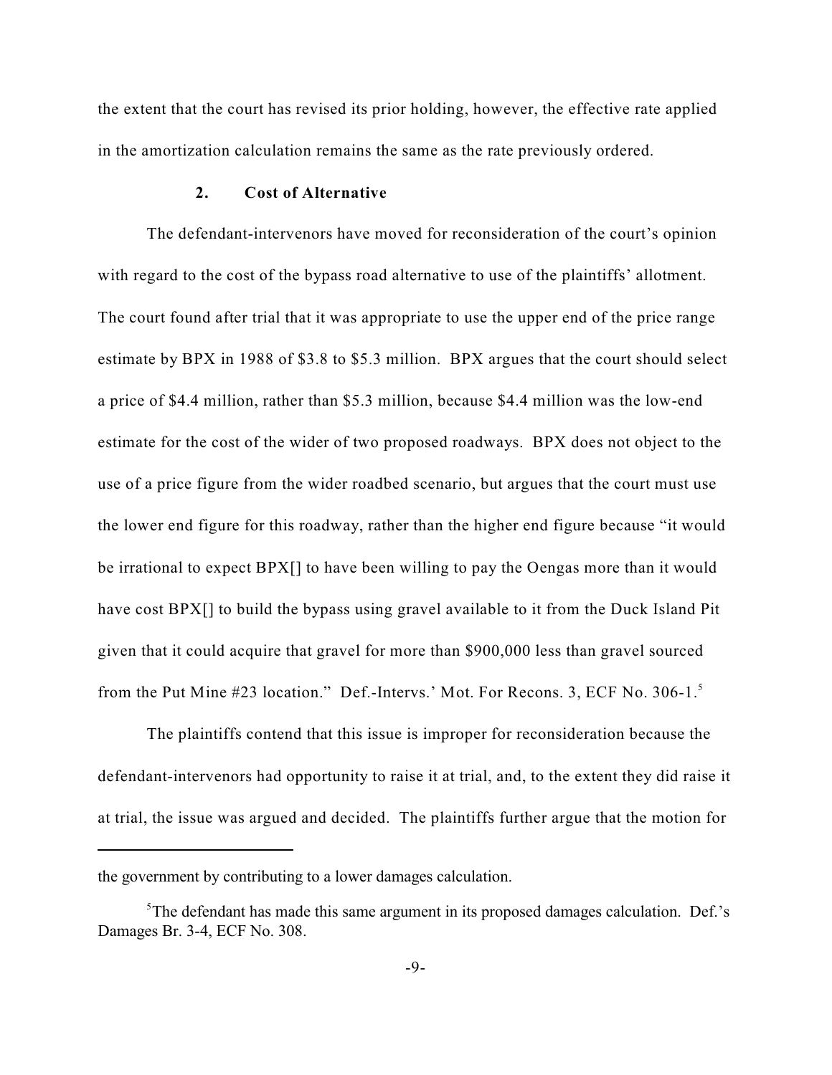the extent that the court has revised its prior holding, however, the effective rate applied in the amortization calculation remains the same as the rate previously ordered.

## **2. Cost of Alternative**

The defendant-intervenors have moved for reconsideration of the court's opinion with regard to the cost of the bypass road alternative to use of the plaintiffs' allotment. The court found after trial that it was appropriate to use the upper end of the price range estimate by BPX in 1988 of \$3.8 to \$5.3 million. BPX argues that the court should select a price of \$4.4 million, rather than \$5.3 million, because \$4.4 million was the low-end estimate for the cost of the wider of two proposed roadways. BPX does not object to the use of a price figure from the wider roadbed scenario, but argues that the court must use the lower end figure for this roadway, rather than the higher end figure because "it would be irrational to expect BPX[] to have been willing to pay the Oengas more than it would have cost BPX[] to build the bypass using gravel available to it from the Duck Island Pit given that it could acquire that gravel for more than \$900,000 less than gravel sourced from the Put Mine #23 location." Def.-Intervs.' Mot. For Recons. 3, ECF No. 306-1.<sup>5</sup>

The plaintiffs contend that this issue is improper for reconsideration because the defendant-intervenors had opportunity to raise it at trial, and, to the extent they did raise it at trial, the issue was argued and decided. The plaintiffs further argue that the motion for

the government by contributing to a lower damages calculation.

 $5$ The defendant has made this same argument in its proposed damages calculation. Def.'s Damages Br. 3-4, ECF No. 308.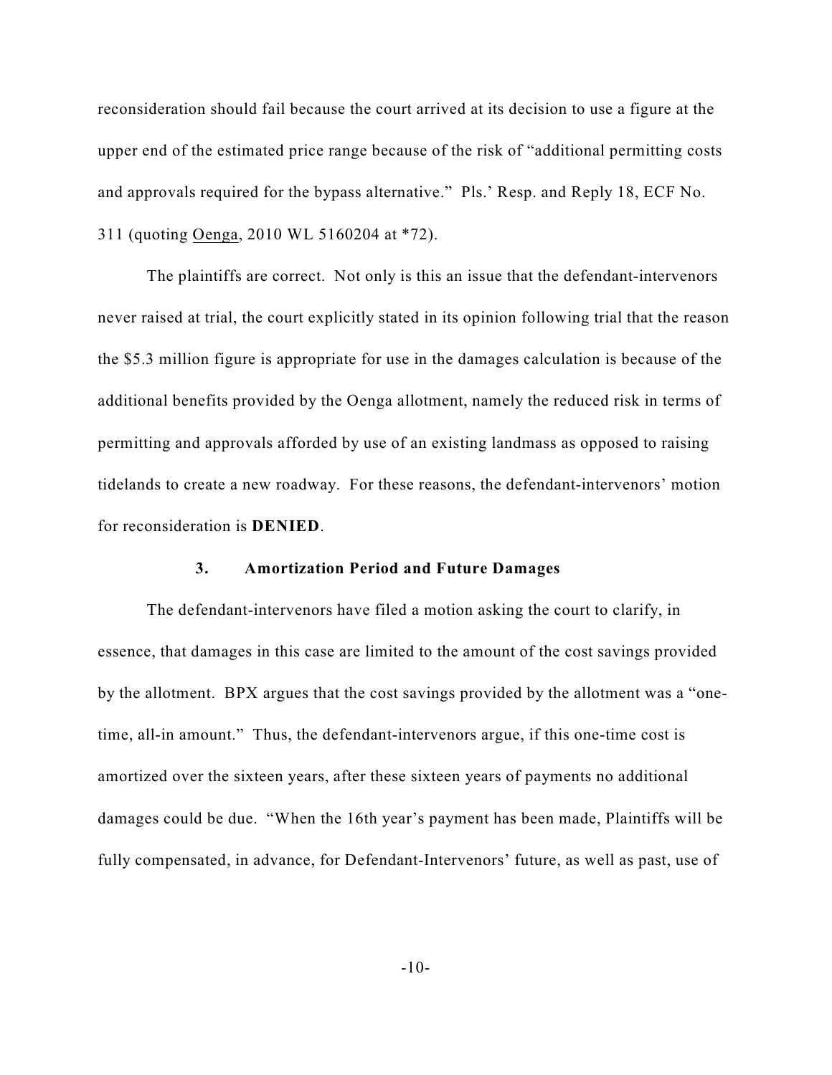reconsideration should fail because the court arrived at its decision to use a figure at the upper end of the estimated price range because of the risk of "additional permitting costs and approvals required for the bypass alternative." Pls.' Resp. and Reply 18, ECF No. 311 (quoting Oenga, 2010 WL 5160204 at \*72).

The plaintiffs are correct. Not only is this an issue that the defendant-intervenors never raised at trial, the court explicitly stated in its opinion following trial that the reason the \$5.3 million figure is appropriate for use in the damages calculation is because of the additional benefits provided by the Oenga allotment, namely the reduced risk in terms of permitting and approvals afforded by use of an existing landmass as opposed to raising tidelands to create a new roadway. For these reasons, the defendant-intervenors' motion for reconsideration is **DENIED**.

#### **3. Amortization Period and Future Damages**

The defendant-intervenors have filed a motion asking the court to clarify, in essence, that damages in this case are limited to the amount of the cost savings provided by the allotment. BPX argues that the cost savings provided by the allotment was a "onetime, all-in amount." Thus, the defendant-intervenors argue, if this one-time cost is amortized over the sixteen years, after these sixteen years of payments no additional damages could be due. "When the 16th year's payment has been made, Plaintiffs will be fully compensated, in advance, for Defendant-Intervenors' future, as well as past, use of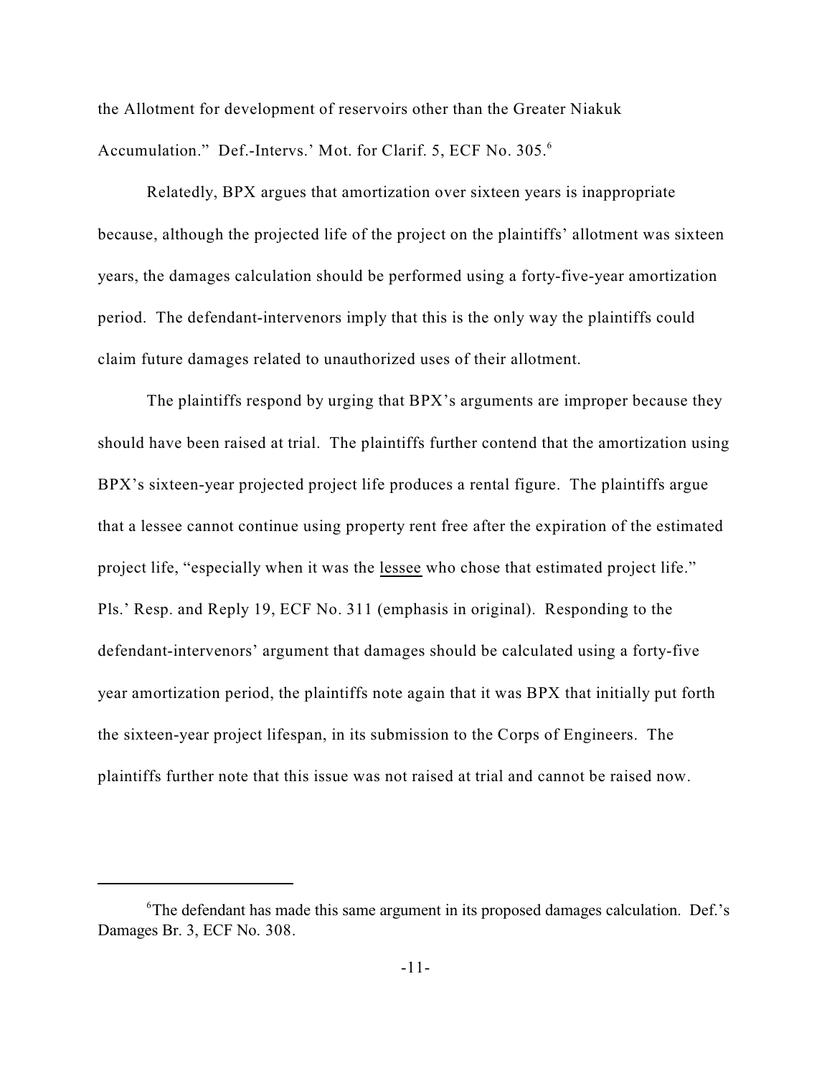the Allotment for development of reservoirs other than the Greater Niakuk Accumulation." Def.-Intervs.' Mot. for Clarif. 5, ECF No. 305.<sup>6</sup>

Relatedly, BPX argues that amortization over sixteen years is inappropriate because, although the projected life of the project on the plaintiffs' allotment was sixteen years, the damages calculation should be performed using a forty-five-year amortization period. The defendant-intervenors imply that this is the only way the plaintiffs could claim future damages related to unauthorized uses of their allotment.

The plaintiffs respond by urging that BPX's arguments are improper because they should have been raised at trial. The plaintiffs further contend that the amortization using BPX's sixteen-year projected project life produces a rental figure. The plaintiffs argue that a lessee cannot continue using property rent free after the expiration of the estimated project life, "especially when it was the lessee who chose that estimated project life." Pls.' Resp. and Reply 19, ECF No. 311 (emphasis in original). Responding to the defendant-intervenors' argument that damages should be calculated using a forty-five year amortization period, the plaintiffs note again that it was BPX that initially put forth the sixteen-year project lifespan, in its submission to the Corps of Engineers. The plaintiffs further note that this issue was not raised at trial and cannot be raised now.

<sup>&</sup>lt;sup>6</sup>The defendant has made this same argument in its proposed damages calculation. Def.'s Damages Br. 3, ECF No. 308.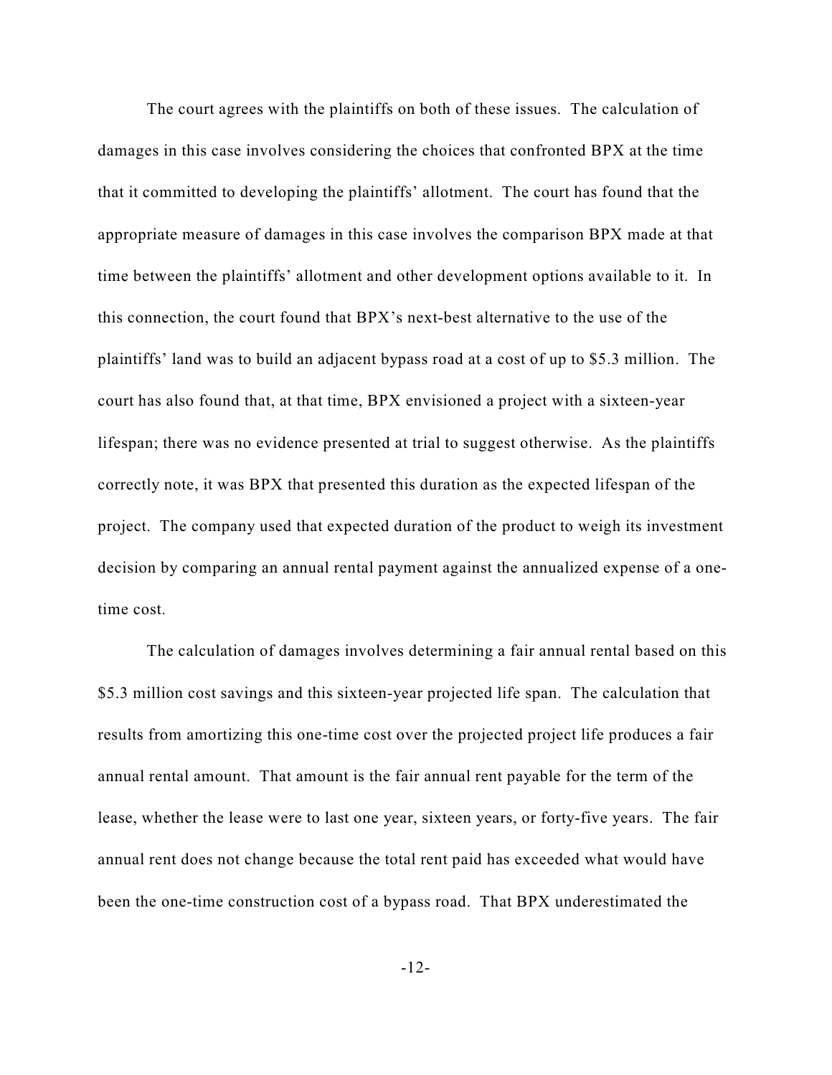The court agrees with the plaintiffs on both of these issues. The calculation of damages in this case involves considering the choices that confronted BPX at the time that it committed to developing the plaintiffs' allotment. The court has found that the appropriate measure of damages in this case involves the comparison BPX made at that time between the plaintiffs' allotment and other development options available to it. In this connection, the court found that BPX's next-best alternative to the use of the plaintiffs' land was to build an adjacent bypass road at a cost of up to \$5.3 million. The court has also found that, at that time, BPX envisioned a project with a sixteen-year lifespan; there was no evidence presented at trial to suggest otherwise. As the plaintiffs correctly note, it was BPX that presented this duration as the expected lifespan of the project. The company used that expected duration of the product to weigh its investment decision by comparing an annual rental payment against the annualized expense of a onetime cost.

The calculation of damages involves determining a fair annual rental based on this \$5.3 million cost savings and this sixteen-year projected life span. The calculation that results from amortizing this one-time cost over the projected project life produces a fair annual rental amount. That amount is the fair annual rent payable for the term of the lease, whether the lease were to last one year, sixteen years, or forty-five years. The fair annual rent does not change because the total rent paid has exceeded what would have been the one-time construction cost of a bypass road. That BPX underestimated the

-12-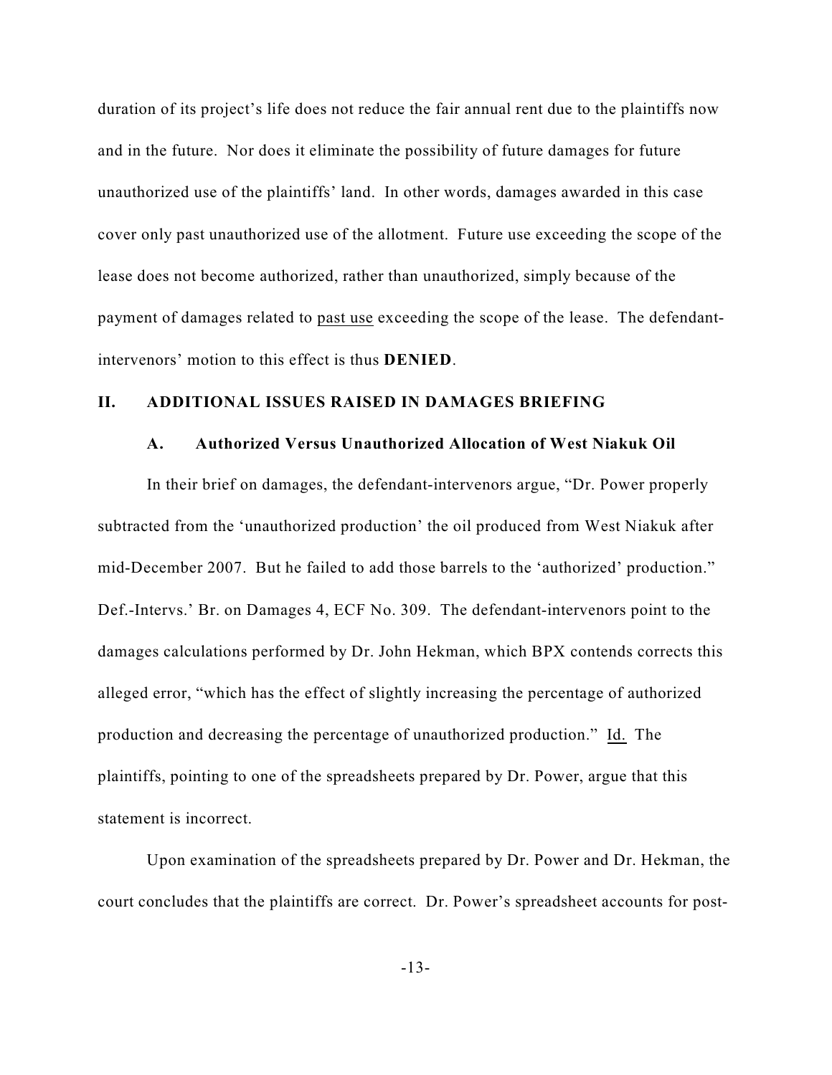duration of its project's life does not reduce the fair annual rent due to the plaintiffs now and in the future. Nor does it eliminate the possibility of future damages for future unauthorized use of the plaintiffs' land. In other words, damages awarded in this case cover only past unauthorized use of the allotment. Future use exceeding the scope of the lease does not become authorized, rather than unauthorized, simply because of the payment of damages related to past use exceeding the scope of the lease. The defendantintervenors' motion to this effect is thus **DENIED**.

#### **II. ADDITIONAL ISSUES RAISED IN DAMAGES BRIEFING**

## **A. Authorized Versus Unauthorized Allocation of West Niakuk Oil**

In their brief on damages, the defendant-intervenors argue, "Dr. Power properly subtracted from the 'unauthorized production' the oil produced from West Niakuk after mid-December 2007. But he failed to add those barrels to the 'authorized' production." Def.-Intervs.' Br. on Damages 4, ECF No. 309. The defendant-intervenors point to the damages calculations performed by Dr. John Hekman, which BPX contends corrects this alleged error, "which has the effect of slightly increasing the percentage of authorized production and decreasing the percentage of unauthorized production." Id. The plaintiffs, pointing to one of the spreadsheets prepared by Dr. Power, argue that this statement is incorrect.

Upon examination of the spreadsheets prepared by Dr. Power and Dr. Hekman, the court concludes that the plaintiffs are correct. Dr. Power's spreadsheet accounts for post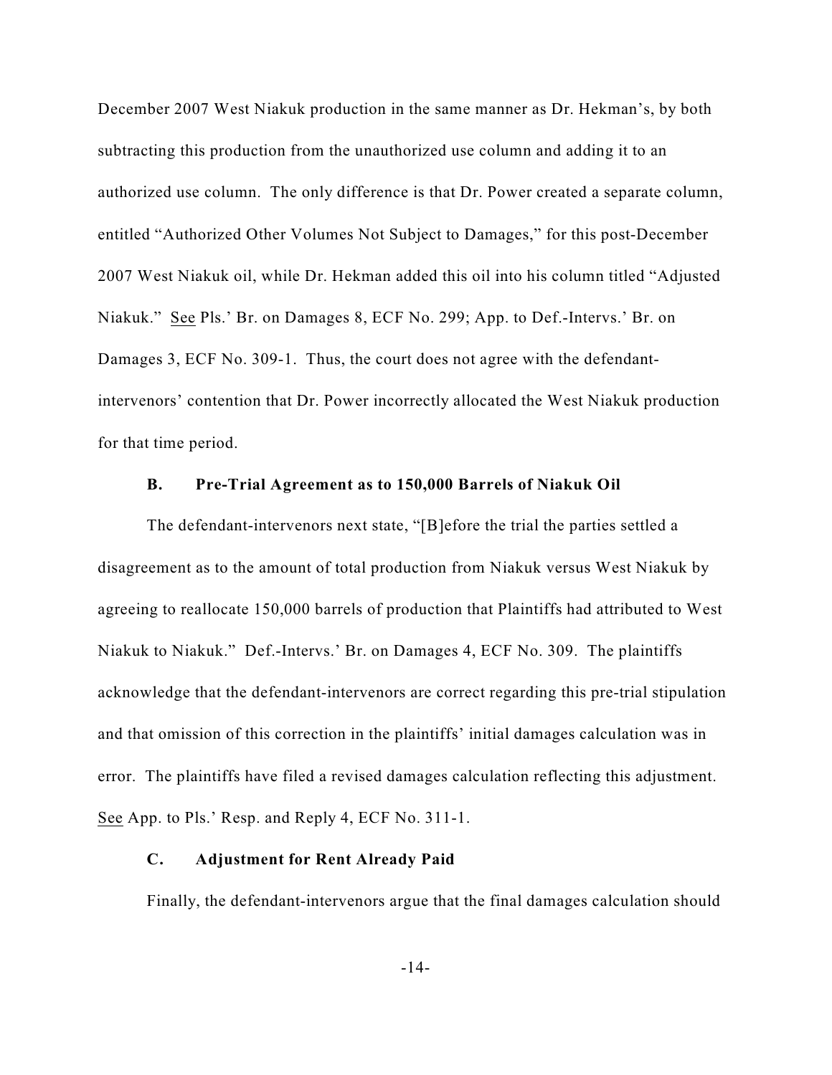December 2007 West Niakuk production in the same manner as Dr. Hekman's, by both subtracting this production from the unauthorized use column and adding it to an authorized use column. The only difference is that Dr. Power created a separate column, entitled "Authorized Other Volumes Not Subject to Damages," for this post-December 2007 West Niakuk oil, while Dr. Hekman added this oil into his column titled "Adjusted Niakuk." See Pls.' Br. on Damages 8, ECF No. 299; App. to Def.-Intervs.' Br. on Damages 3, ECF No. 309-1. Thus, the court does not agree with the defendantintervenors' contention that Dr. Power incorrectly allocated the West Niakuk production for that time period.

#### **B. Pre-Trial Agreement as to 150,000 Barrels of Niakuk Oil**

The defendant-intervenors next state, "[B]efore the trial the parties settled a disagreement as to the amount of total production from Niakuk versus West Niakuk by agreeing to reallocate 150,000 barrels of production that Plaintiffs had attributed to West Niakuk to Niakuk." Def.-Intervs.' Br. on Damages 4, ECF No. 309. The plaintiffs acknowledge that the defendant-intervenors are correct regarding this pre-trial stipulation and that omission of this correction in the plaintiffs' initial damages calculation was in error. The plaintiffs have filed a revised damages calculation reflecting this adjustment. See App. to Pls.' Resp. and Reply 4, ECF No. 311-1.

# **C. Adjustment for Rent Already Paid**

Finally, the defendant-intervenors argue that the final damages calculation should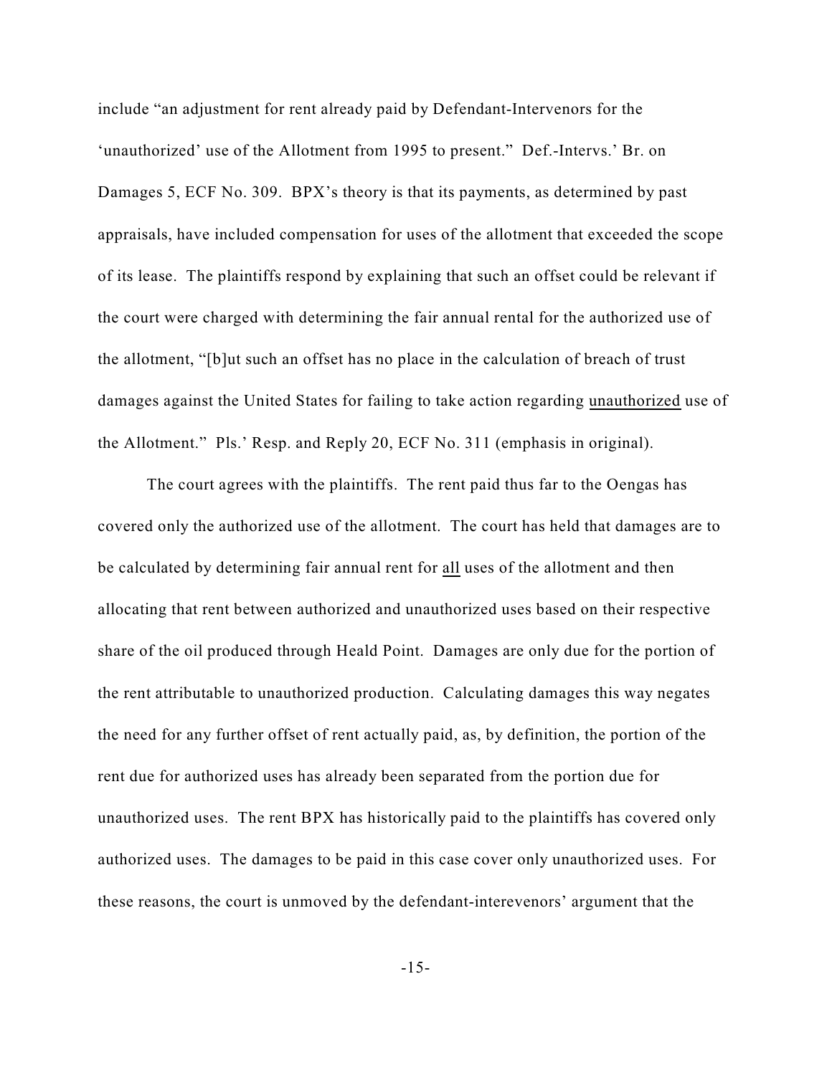include "an adjustment for rent already paid by Defendant-Intervenors for the 'unauthorized' use of the Allotment from 1995 to present." Def.-Intervs.' Br. on Damages 5, ECF No. 309. BPX's theory is that its payments, as determined by past appraisals, have included compensation for uses of the allotment that exceeded the scope of its lease. The plaintiffs respond by explaining that such an offset could be relevant if the court were charged with determining the fair annual rental for the authorized use of the allotment, "[b]ut such an offset has no place in the calculation of breach of trust damages against the United States for failing to take action regarding unauthorized use of the Allotment." Pls.' Resp. and Reply 20, ECF No. 311 (emphasis in original).

The court agrees with the plaintiffs. The rent paid thus far to the Oengas has covered only the authorized use of the allotment. The court has held that damages are to be calculated by determining fair annual rent for all uses of the allotment and then allocating that rent between authorized and unauthorized uses based on their respective share of the oil produced through Heald Point. Damages are only due for the portion of the rent attributable to unauthorized production. Calculating damages this way negates the need for any further offset of rent actually paid, as, by definition, the portion of the rent due for authorized uses has already been separated from the portion due for unauthorized uses. The rent BPX has historically paid to the plaintiffs has covered only authorized uses. The damages to be paid in this case cover only unauthorized uses. For these reasons, the court is unmoved by the defendant-interevenors' argument that the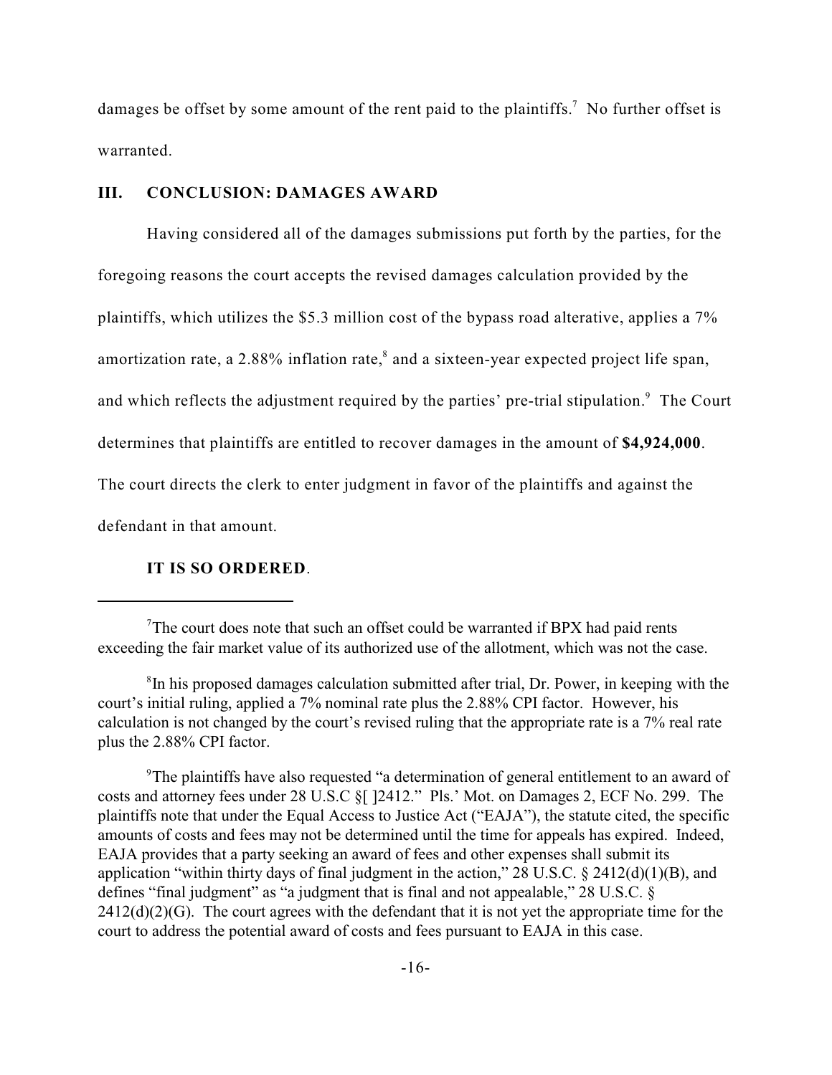damages be offset by some amount of the rent paid to the plaintiffs.<sup>7</sup> No further offset is warranted.

# **III. CONCLUSION: DAMAGES AWARD**

Having considered all of the damages submissions put forth by the parties, for the foregoing reasons the court accepts the revised damages calculation provided by the plaintiffs, which utilizes the \$5.3 million cost of the bypass road alterative, applies a 7% amortization rate, a 2.88% inflation rate, ${}^{8}$  and a sixteen-year expected project life span, and which reflects the adjustment required by the parties' pre-trial stipulation. $9$  The Court determines that plaintiffs are entitled to recover damages in the amount of **\$4,924,000**. The court directs the clerk to enter judgment in favor of the plaintiffs and against the defendant in that amount.

# **IT IS SO ORDERED**.

<sup>9</sup>The plaintiffs have also requested "a determination of general entitlement to an award of costs and attorney fees under 28 U.S.C §[ ]2412." Pls.' Mot. on Damages 2, ECF No. 299. The plaintiffs note that under the Equal Access to Justice Act ("EAJA"), the statute cited, the specific amounts of costs and fees may not be determined until the time for appeals has expired. Indeed, EAJA provides that a party seeking an award of fees and other expenses shall submit its application "within thirty days of final judgment in the action," 28 U.S.C. § 2412(d)(1)(B), and defines "final judgment" as "a judgment that is final and not appealable," 28 U.S.C. §  $2412(d)(2)(G)$ . The court agrees with the defendant that it is not yet the appropriate time for the court to address the potential award of costs and fees pursuant to EAJA in this case.

The court does note that such an offset could be warranted if BPX had paid rents exceeding the fair market value of its authorized use of the allotment, which was not the case.

<sup>&</sup>lt;sup>8</sup>In his proposed damages calculation submitted after trial, Dr. Power, in keeping with the court's initial ruling, applied a 7% nominal rate plus the 2.88% CPI factor. However, his calculation is not changed by the court's revised ruling that the appropriate rate is a 7% real rate plus the 2.88% CPI factor.